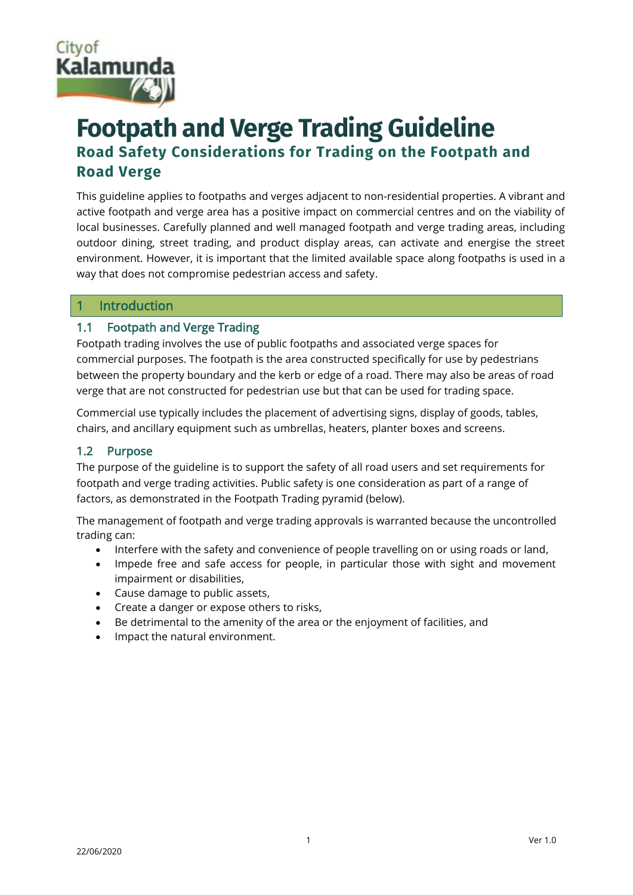

# **Footpath and Verge Trading Guideline Road Safety Considerations for Trading on the Footpath and Road Verge**

This guideline applies to footpaths and verges adjacent to non-residential properties. A vibrant and active footpath and verge area has a positive impact on commercial centres and on the viability of local businesses. Carefully planned and well managed footpath and verge trading areas, including outdoor dining, street trading, and product display areas, can activate and energise the street environment. However, it is important that the limited available space along footpaths is used in a way that does not compromise pedestrian access and safety.

#### 1 Introduction

#### 1.1 Footpath and Verge Trading

Footpath trading involves the use of public footpaths and associated verge spaces for commercial purposes. The footpath is the area constructed specifically for use by pedestrians between the property boundary and the kerb or edge of a road. There may also be areas of road verge that are not constructed for pedestrian use but that can be used for trading space.

Commercial use typically includes the placement of advertising signs, display of goods, tables, chairs, and ancillary equipment such as umbrellas, heaters, planter boxes and screens.

### 1.2 Purpose

The purpose of the guideline is to support the safety of all road users and set requirements for footpath and verge trading activities. Public safety is one consideration as part of a range of factors, as demonstrated in the Footpath Trading pyramid (below).

The management of footpath and verge trading approvals is warranted because the uncontrolled trading can:

- Interfere with the safety and convenience of people travelling on or using roads or land,
- Impede free and safe access for people, in particular those with sight and movement impairment or disabilities,
- Cause damage to public assets,
- Create a danger or expose others to risks,
- Be detrimental to the amenity of the area or the enjoyment of facilities, and
- Impact the natural environment.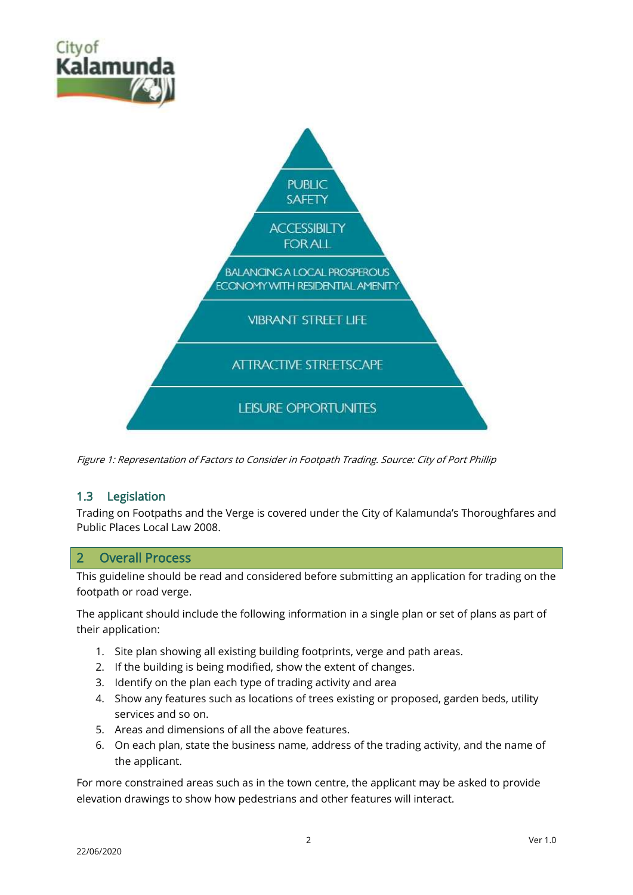

Figure 1: Representation of Factors to Consider in Footpath Trading. Source: City of Port Phillip

#### 1.3 Legislation

Trading on Footpaths and the Verge is covered under the City of Kalamunda's [Thoroughfares and](https://kalblob.blob.core.windows.net/kallibrary/docs/default-source/local-laws/trading-on-thoroughfares-and-public-places-local-law-2008.pdf?sfvrsn=3ac24c27_4)  [Public Places Local Law 2008.](https://kalblob.blob.core.windows.net/kallibrary/docs/default-source/local-laws/trading-on-thoroughfares-and-public-places-local-law-2008.pdf?sfvrsn=3ac24c27_4)

#### 2 Overall Process

This guideline should be read and considered before submitting an application for trading on the footpath or road verge.

The applicant should include the following information in a single plan or set of plans as part of their application:

- 1. Site plan showing all existing building footprints, verge and path areas.
- 2. If the building is being modified, show the extent of changes.
- 3. Identify on the plan each type of trading activity and area
- 4. Show any features such as locations of trees existing or proposed, garden beds, utility services and so on.
- 5. Areas and dimensions of all the above features.
- 6. On each plan, state the business name, address of the trading activity, and the name of the applicant.

For more constrained areas such as in the town centre, the applicant may be asked to provide elevation drawings to show how pedestrians and other features will interact.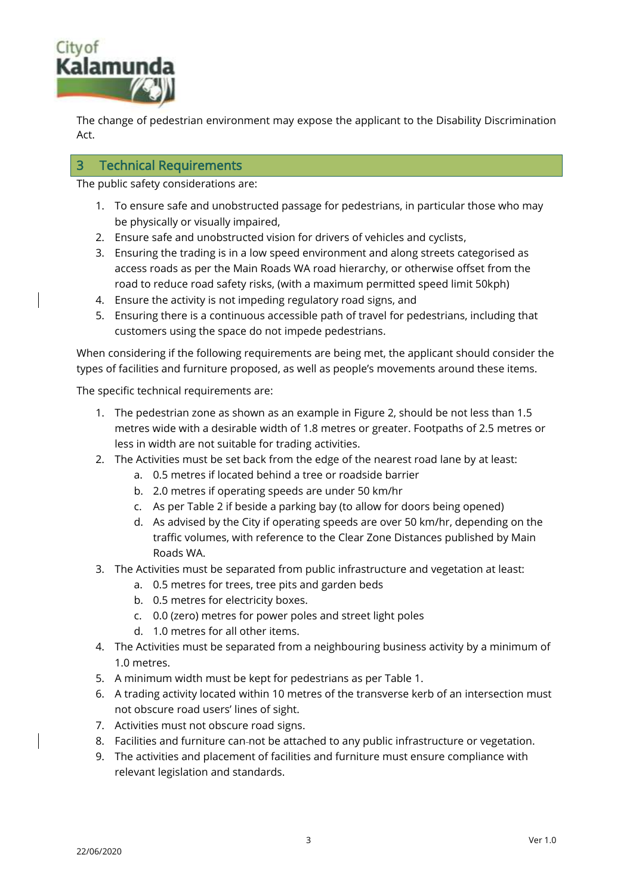

The change of pedestrian environment may expose the applicant to the Disability Discrimination Act.

#### 3 Technical Requirements

The public safety considerations are:

- 1. To ensure safe and unobstructed passage for pedestrians, in particular those who may be physically or visually impaired,
- 2. Ensure safe and unobstructed vision for drivers of vehicles and cyclists,
- 3. Ensuring the trading is in a low speed environment and along streets categorised as access roads as per the Main Roads WA road hierarchy, or otherwise offset from the road to reduce road safety risks, (with a maximum permitted speed limit 50kph)
- 4. Ensure the activity is not impeding regulatory road signs, and
- 5. Ensuring there is a continuous accessible path of travel for pedestrians, including that customers using the space do not impede pedestrians.

When considering if the following requirements are being met, the applicant should consider the types of facilities and furniture proposed, as well as people's movements around these items.

The specific technical requirements are:

- 1. The pedestrian zone as shown as an example in Figure 2, should be not less than 1.5 metres wide with a desirable width of 1.8 metres or greater. Footpaths of 2.5 metres or less in width are not suitable for trading activities.
- 2. The Activities must be set back from the edge of the nearest road lane by at least:
	- a. 0.5 metres if located behind a tree or roadside barrier
	- b. 2.0 metres if operating speeds are under 50 km/hr
	- c. As per Table 2 if beside a parking bay (to allow for doors being opened)
	- d. As advised by the City if operating speeds are over 50 km/hr, depending on the traffic volumes, with reference to the Clear Zone Distances published by Main Roads WA.
- 3. The Activities must be separated from public infrastructure and vegetation at least:
	- a. 0.5 metres for trees, tree pits and garden beds
	- b. 0.5 metres for electricity boxes.
	- c. 0.0 (zero) metres for power poles and street light poles
	- d. 1.0 metres for all other items.
- 4. The Activities must be separated from a neighbouring business activity by a minimum of 1.0 metres.
- 5. A minimum width must be kept for pedestrians as per Table 1.
- 6. A trading activity located within 10 metres of the transverse kerb of an intersection must not obscure road users' lines of sight.
- 7. Activities must not obscure road signs.
- 8. Facilities and furniture can-not be attached to any public infrastructure or vegetation.
- 9. The activities and placement of facilities and furniture must ensure compliance with relevant legislation and standards.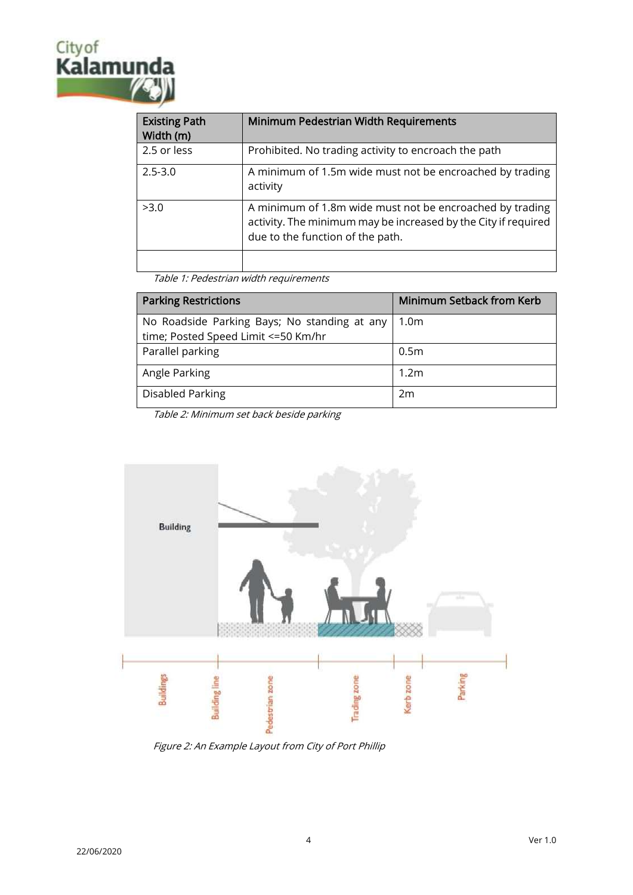# City of<br>Kalamur

| <b>Existing Path</b><br>Width (m) | Minimum Pedestrian Width Requirements                                                                                                                          |
|-----------------------------------|----------------------------------------------------------------------------------------------------------------------------------------------------------------|
| 2.5 or less                       | Prohibited. No trading activity to encroach the path                                                                                                           |
| $2.5 - 3.0$                       | A minimum of 1.5m wide must not be encroached by trading<br>activity                                                                                           |
| >3.0                              | A minimum of 1.8m wide must not be encroached by trading<br>activity. The minimum may be increased by the City if required<br>due to the function of the path. |
|                                   |                                                                                                                                                                |

Table 1: Pedestrian width requirements

| <b>Parking Restrictions</b>                  | <b>Minimum Setback from Kerb</b> |
|----------------------------------------------|----------------------------------|
| No Roadside Parking Bays; No standing at any | 1.0 <sub>m</sub>                 |
| time; Posted Speed Limit <= 50 Km/hr         |                                  |
| Parallel parking                             | 0.5 <sub>m</sub>                 |
| Angle Parking                                | 1.2 <sub>m</sub>                 |
| Disabled Parking                             | 2m                               |

Table 2: Minimum set back beside parking



Figure 2: An Example Layout from City of Port Phillip